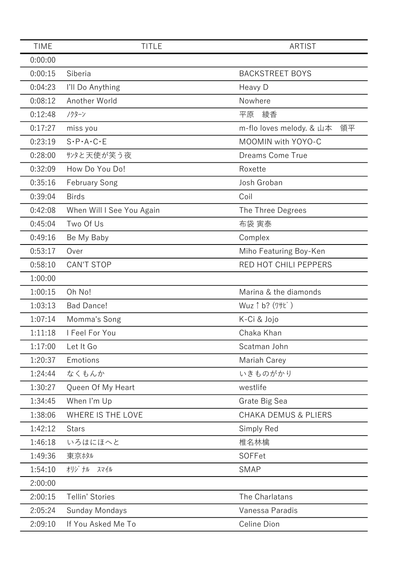| <b>TIME</b> | <b>TITLE</b>                        | <b>ARTIST</b>                   |
|-------------|-------------------------------------|---------------------------------|
| 0:00:00     |                                     |                                 |
| 0:00:15     | Siberia                             | <b>BACKSTREET BOYS</b>          |
| 0:04:23     | I'll Do Anything                    | Heavy D                         |
| 0:08:12     | Another World                       | Nowhere                         |
| 0:12:48     | ノクターン                               | 綾香<br>平原                        |
| 0:17:27     | miss you                            | m-flo loves melody. & 山本<br>領平  |
| 0:23:19     | $S \cdot P \cdot A \cdot C \cdot E$ | MOOMIN with YOYO-C              |
| 0:28:00     | サンタと天使が笑う夜                          | <b>Dreams Come True</b>         |
| 0:32:09     | How Do You Do!                      | Roxette                         |
| 0:35:16     | <b>February Song</b>                | Josh Groban                     |
| 0:39:04     | <b>Birds</b>                        | Coil                            |
| 0:42:08     | When Will I See You Again           | The Three Degrees               |
| 0:45:04     | Two Of Us                           | 布袋 寅泰                           |
| 0:49:16     | Be My Baby                          | Complex                         |
| 0:53:17     | Over                                | Miho Featuring Boy-Ken          |
| 0:58:10     | <b>CAN'T STOP</b>                   | RED HOT CHILI PEPPERS           |
| 1:00:00     |                                     |                                 |
| 1:00:15     | Oh No!                              | Marina & the diamonds           |
| 1:03:13     | <b>Bad Dance!</b>                   | Wuz 1 b? (7+t)                  |
| 1:07:14     | Momma's Song                        | K-Ci & Jojo                     |
| 1:11:18     | I Feel For You                      | Chaka Khan                      |
| 1:17:00     | Let It Go                           | Scatman John                    |
| 1:20:37     | Emotions                            | Mariah Carey                    |
| 1:24:44     | なくもんか                               | いきものがかり                         |
| 1:30:27     | Queen Of My Heart                   | westlife                        |
| 1:34:45     | When I'm Up                         | Grate Big Sea                   |
| 1:38:06     | WHERE IS THE LOVE                   | <b>CHAKA DEMUS &amp; PLIERS</b> |
| 1:42:12     | <b>Stars</b>                        | Simply Red                      |
| 1:46:18     | いろはにほへと                             | 椎名林檎                            |
| 1:49:36     | 東京ホタル                               | SOFFet                          |
| 1:54:10     | オリジナル<br>スマイル                       | <b>SMAP</b>                     |
| 2:00:00     |                                     |                                 |
| 2:00:15     | Tellin' Stories                     | The Charlatans                  |
| 2:05:24     | Sunday Mondays                      | Vanessa Paradis                 |
| 2:09:10     | If You Asked Me To                  | Celine Dion                     |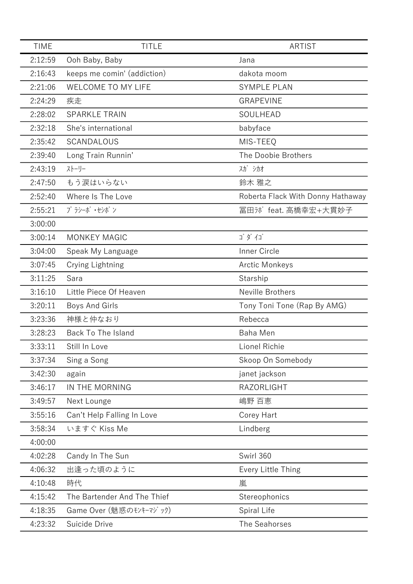| <b>TIME</b> | <b>TITLE</b>                | <b>ARTIST</b>                     |
|-------------|-----------------------------|-----------------------------------|
| 2:12:59     | Ooh Baby, Baby              | Jana                              |
| 2:16:43     | keeps me comin' (addiction) | dakota moom                       |
| 2:21:06     | WELCOME TO MY LIFE          | <b>SYMPLE PLAN</b>                |
| 2:24:29     | 疾走                          | <b>GRAPEVINE</b>                  |
| 2:28:02     | <b>SPARKLE TRAIN</b>        | SOULHEAD                          |
| 2:32:18     | She's international         | babyface                          |
| 2:35:42     | SCANDALOUS                  | MIS-TEEQ                          |
| 2:39:40     | Long Train Runnin'          | The Doobie Brothers               |
| 2:43:19     | ストーリー                       | スガ シカオ                            |
| 2:47:50     | もう涙はいらない                    | 鈴木 雅之                             |
| 2:52:40     | Where Is The Love           | Roberta Flack With Donny Hathaway |
| 2:55:21     | プラシーボ ・セシボン                 | 冨田ホボfeat. 高橋幸宏+大貫妙子               |
| 3:00:00     |                             |                                   |
| 3:00:14     | <b>MONKEY MAGIC</b>         | ゴダイゴ                              |
| 3:04:00     | Speak My Language           | Inner Circle                      |
| 3:07:45     | Crying Lightning            | <b>Arctic Monkeys</b>             |
| 3:11:25     | Sara                        | Starship                          |
| 3:16:10     | Little Piece Of Heaven      | Neville Brothers                  |
| 3:20:11     | Boys And Girls              | Tony Toni Tone (Rap By AMG)       |
| 3:23:36     | 神様と仲なおり                     | Rebecca                           |
| 3:28:23     | Back To The Island          | Baha Men                          |
| 3:33:11     | Still In Love               | Lionel Richie                     |
| 3:37:34     | Sing a Song                 | Skoop On Somebody                 |
| 3:42:30     | again                       | janet jackson                     |
| 3:46:17     | IN THE MORNING              | RAZORLIGHT                        |
| 3:49:57     | Next Lounge                 | 嶋野 百恵                             |
| 3:55:16     | Can't Help Falling In Love  | Corey Hart                        |
| 3:58:34     | いますぐ Kiss Me                | Lindberg                          |
| 4:00:00     |                             |                                   |
| 4:02:28     | Candy In The Sun            | Swirl 360                         |
| 4:06:32     | 出逢った頃のように                   | Every Little Thing                |
| 4:10:48     | 時代                          | 嵐                                 |
| 4:15:42     | The Bartender And The Thief | Stereophonics                     |
| 4:18:35     | Game Over (魅惑のモンキーマジック)     | Spiral Life                       |
| 4:23:32     | Suicide Drive               | The Seahorses                     |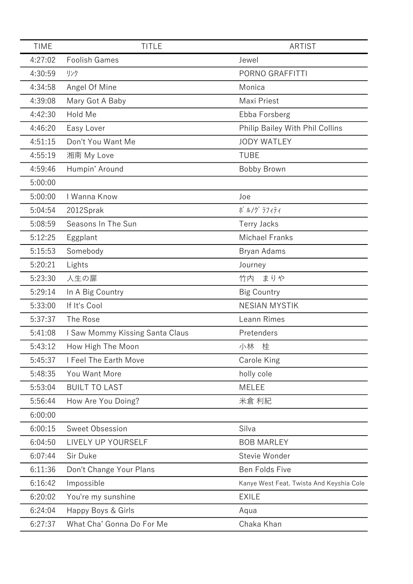| <b>TIME</b> | <b>TITLE</b>                    | <b>ARTIST</b>                            |
|-------------|---------------------------------|------------------------------------------|
| 4:27:02     | <b>Foolish Games</b>            | Jewel                                    |
| 4:30:59     | リンク                             | PORNO GRAFFITTI                          |
| 4:34:58     | Angel Of Mine                   | Monica                                   |
| 4:39:08     | Mary Got A Baby                 | Maxi Priest                              |
| 4:42:30     | Hold Me                         | Ebba Forsberg                            |
| 4:46:20     | Easy Lover                      | Philip Bailey With Phil Collins          |
| 4:51:15     | Don't You Want Me               | <b>JODY WATLEY</b>                       |
| 4:55:19     | 湘南 My Love                      | <b>TUBE</b>                              |
| 4:59:46     | Humpin' Around                  | Bobby Brown                              |
| 5:00:00     |                                 |                                          |
| 5:00:00     | I Wanna Know                    | Joe                                      |
| 5:04:54     | 2012Sprak                       | ポ ルノグ ラフィティ                              |
| 5:08:59     | Seasons In The Sun              | <b>Terry Jacks</b>                       |
| 5:12:25     | Eggplant                        | <b>Michael Franks</b>                    |
| 5:15:53     | Somebody                        | Bryan Adams                              |
| 5:20:21     | Lights                          | Journey                                  |
| 5:23:30     | 人生の扉                            | 竹内<br>まりや                                |
| 5:29:14     | In A Big Country                | <b>Big Country</b>                       |
| 5:33:00     | If It's Cool                    | <b>NESIAN MYSTIK</b>                     |
| 5:37:37     | The Rose                        | Leann Rimes                              |
| 5:41:08     | I Saw Mommy Kissing Santa Claus | Pretenders                               |
| 5:43:12     | How High The Moon               | 小林<br>桂                                  |
| 5:45:37     | I Feel The Earth Move           | Carole King                              |
| 5:48:35     | You Want More                   | holly cole                               |
| 5:53:04     | <b>BUILT TO LAST</b>            | <b>MELEE</b>                             |
| 5:56:44     | How Are You Doing?              | 米倉 利紀                                    |
| 6:00:00     |                                 |                                          |
| 6:00:15     | Sweet Obsession                 | Silva                                    |
| 6:04:50     | LIVELY UP YOURSELF              | <b>BOB MARLEY</b>                        |
| 6:07:44     | Sir Duke                        | Stevie Wonder                            |
| 6:11:36     | Don't Change Your Plans         | Ben Folds Five                           |
| 6:16:42     | Impossible                      | Kanye West Feat. Twista And Keyshia Cole |
| 6:20:02     | You're my sunshine              | <b>EXILE</b>                             |
| 6:24:04     | Happy Boys & Girls              | Aqua                                     |
| 6:27:37     | What Cha' Gonna Do For Me       | Chaka Khan                               |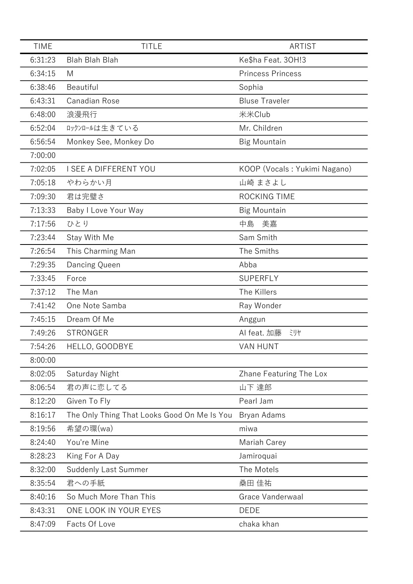| <b>TIME</b> | <b>TITLE</b>                                | <b>ARTIST</b>                |
|-------------|---------------------------------------------|------------------------------|
| 6:31:23     | Blah Blah Blah                              | Ke\$ha Feat. 30H!3           |
| 6:34:15     | M                                           | <b>Princess Princess</b>     |
| 6:38:46     | Beautiful                                   | Sophia                       |
| 6:43:31     | Canadian Rose                               | <b>Bluse Traveler</b>        |
| 6:48:00     | 浪漫飛行                                        | 米米Club                       |
| 6:52:04     | ロックンロールは生きている                               | Mr. Children                 |
| 6:56:54     | Monkey See, Monkey Do                       | <b>Big Mountain</b>          |
| 7:00:00     |                                             |                              |
| 7:02:05     | I SEE A DIFFERENT YOU                       | KOOP (Vocals: Yukimi Nagano) |
| 7:05:18     | やわらかい月                                      | 山崎 まさよし                      |
| 7:09:30     | 君は完璧さ                                       | ROCKING TIME                 |
| 7:13:33     | Baby I Love Your Way                        | <b>Big Mountain</b>          |
| 7:17:56     | ひとり                                         | 中島<br>美嘉                     |
| 7:23:44     | Stay With Me                                | Sam Smith                    |
| 7:26:54     | This Charming Man                           | The Smiths                   |
| 7:29:35     | Dancing Queen                               | Abba                         |
| 7:33:45     | Force                                       | <b>SUPERFLY</b>              |
| 7:37:12     | The Man                                     | The Killers                  |
| 7:41:42     | One Note Samba                              | Ray Wonder                   |
| 7:45:15     | Dream Of Me                                 | Anggun                       |
| 7:49:26     | <b>STRONGER</b>                             | AI feat. 加藤<br>ミリヤ           |
| 7:54:26     | HELLO, GOODBYE                              | <b>VAN HUNT</b>              |
| 8:00:00     |                                             |                              |
| 8:02:05     | Saturday Night                              | Zhane Featuring The Lox      |
| 8:06:54     | 君の声に恋してる                                    | 山下 達郎                        |
| 8:12:20     | Given To Fly                                | Pearl Jam                    |
| 8:16:17     | The Only Thing That Looks Good On Me Is You | Bryan Adams                  |
| 8:19:56     | 希望の環(wa)                                    | miwa                         |
| 8:24:40     | You're Mine                                 | Mariah Carey                 |
| 8:28:23     | King For A Day                              | Jamiroquai                   |
| 8:32:00     | <b>Suddenly Last Summer</b>                 | The Motels                   |
| 8:35:54     | 君への手紙                                       | 桑田 佳祐                        |
| 8:40:16     | So Much More Than This                      | Grace Vanderwaal             |
| 8:43:31     | ONE LOOK IN YOUR EYES                       | <b>DEDE</b>                  |
| 8:47:09     | Facts Of Love                               | chaka khan                   |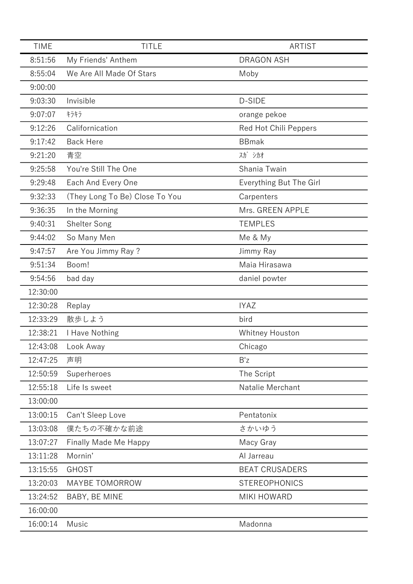| <b>TIME</b> | <b>TITLE</b>                   | <b>ARTIST</b>           |
|-------------|--------------------------------|-------------------------|
| 8:51:56     | My Friends' Anthem             | <b>DRAGON ASH</b>       |
| 8:55:04     | We Are All Made Of Stars       | Moby                    |
| 9:00:00     |                                |                         |
| 9:03:30     | Invisible                      | D-SIDE                  |
| 9:07:07     | キラキラ                           | orange pekoe            |
| 9:12:26     | Californication                | Red Hot Chili Peppers   |
| 9:17:42     | <b>Back Here</b>               | <b>BBmak</b>            |
| 9:21:20     | 青空                             | スガ シカオ                  |
| 9:25:58     | You're Still The One           | Shania Twain            |
| 9:29:48     | Each And Every One             | Everything But The Girl |
| 9:32:33     | (They Long To Be) Close To You | Carpenters              |
| 9:36:35     | In the Morning                 | Mrs. GREEN APPLE        |
| 9:40:31     | Shelter Song                   | <b>TEMPLES</b>          |
| 9:44:02     | So Many Men                    | Me & My                 |
| 9:47:57     | Are You Jimmy Ray ?            | Jimmy Ray               |
| 9:51:34     | Boom!                          | Maia Hirasawa           |
| 9:54:56     | bad day                        | daniel powter           |
| 12:30:00    |                                |                         |
| 12:30:28    | Replay                         | <b>IYAZ</b>             |
| 12:33:29    | 散歩しよう                          | bird                    |
| 12:38:21    | I Have Nothing                 | Whitney Houston         |
| 12:43:08    | Look Away                      | Chicago                 |
| 12:47:25    | 声明                             | B'z                     |
| 12:50:59    | Superheroes                    | The Script              |
| 12:55:18    | Life Is sweet                  | Natalie Merchant        |
| 13:00:00    |                                |                         |
| 13:00:15    | Can't Sleep Love               | Pentatonix              |
| 13:03:08    | 僕たちの不確かな前途                     | さかいゆう                   |
| 13:07:27    | <b>Finally Made Me Happy</b>   | Macy Gray               |
| 13:11:28    | Mornin'                        | Al Jarreau              |
| 13:15:55    | <b>GHOST</b>                   | <b>BEAT CRUSADERS</b>   |
| 13:20:03    | MAYBE TOMORROW                 | <b>STEREOPHONICS</b>    |
| 13:24:52    | BABY, BE MINE                  | <b>MIKI HOWARD</b>      |
| 16:00:00    |                                |                         |
| 16:00:14    | Music                          | Madonna                 |
|             |                                |                         |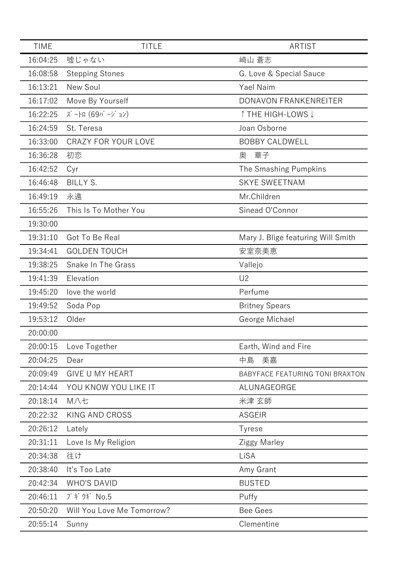| <b>TIME</b> | <b>TITLE</b>               | <b>ARTIST</b>                      |
|-------------|----------------------------|------------------------------------|
| 16:04:25    | 嘘じゃない                      | 崎山 蒼志                              |
| 16:08:58    | <b>Stepping Stones</b>     | G. Love & Special Sauce            |
| 16:13:21    | New Soul                   | Yael Naim                          |
| 16:17:02    | Move By Yourself           | DONAVON FRANKENREITER              |
| 16:22:25    | ズートロ (69バージョン)             | ↑ THE HIGH-LOWS ↓                  |
| 16:24:59    | St. Teresa                 | Joan Osborne                       |
| 16:33:00    | <b>CRAZY FOR YOUR LOVE</b> | <b>BOBBY CALDWELL</b>              |
| 16:36:28    | 初恋                         | 華子<br>奥                            |
| 16:42:52    | Cyr                        | The Smashing Pumpkins              |
| 16:46:48    | <b>BILLY S.</b>            | <b>SKYE SWEETNAM</b>               |
| 16:49:19    | 永遠                         | Mr.Children                        |
| 16:55:26    | This Is To Mother You      | Sinead O'Connor                    |
| 19:30:00    |                            |                                    |
| 19:31:10    | Got To Be Real             | Mary J. Blige featuring Will Smith |
| 19:34:41    | <b>GOLDEN TOUCH</b>        | 安室奈美恵                              |
| 19:38:25    | Snake In The Grass         | Vallejo                            |
| 19:41:39    | Elevation                  | U <sub>2</sub>                     |
| 19:45:20    | love the world             | Perfume                            |
| 19:49:52    | Soda Pop                   | <b>Britney Spears</b>              |
| 19:53:12    | Older                      | George Michael                     |
| 20:00:00    |                            |                                    |
| 20:00:15    | Love Together              | Earth, Wind and Fire               |
| 20:04:25    | Dear                       | 美嘉<br>中島                           |
| 20:09:49    | <b>GIVE U MY HEART</b>     | BABYFACE FEATURING TONI BRAXTON    |
| 20:14:44    | YOU KNOW YOU LIKE IT       | ALUNAGEORGE                        |
| 20:18:14    | M八七                        | 米津 玄師                              |
| 20:22:32    | <b>KING AND CROSS</b>      | <b>ASGEIR</b>                      |
| 20:26:12    | Lately                     | <b>Tyrese</b>                      |
| 20:31:11    | Love Is My Religion        | Ziggy Marley                       |
| 20:34:38    | 往け                         | LiSA                               |
| 20:38:40    | It's Too Late              | Amy Grant                          |
| 20:42:34    | <b>WHO'S DAVID</b>         | <b>BUSTED</b>                      |
| 20:46:11    | ブギ ウギ No.5                 | Puffy                              |
| 20:50:20    | Will You Love Me Tomorrow? | <b>Bee Gees</b>                    |
| 20:55:14    | Sunny                      | Clementine                         |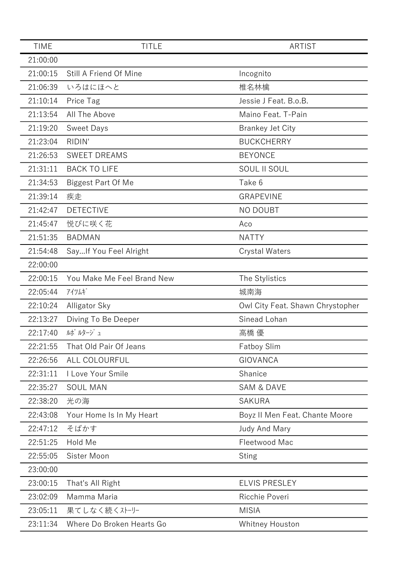| 21:00:00<br>21:00:15<br>Still A Friend Of Mine<br>Incognito<br>21:06:39<br>いろはにほへと<br>椎名林檎<br>21:10:14<br>Jessie J Feat. B.o.B.<br>Price Tag<br>21:13:54<br>All The Above<br>Maino Feat. T-Pain<br>21:19:20<br><b>Sweet Days</b><br><b>Brankey Jet City</b><br><b>BUCKCHERRY</b><br>21:23:04<br>RIDIN'<br><b>BEYONCE</b><br>21:26:53<br><b>SWEET DREAMS</b><br>21:31:11<br><b>BACK TO LIFE</b><br>SOUL II SOUL<br>Take 6<br>21:34:53<br><b>Biggest Part Of Me</b><br>21:39:14<br>疾走<br><b>GRAPEVINE</b><br><b>DETECTIVE</b><br>21:42:47<br>NO DOUBT<br>悦びに咲く花<br>21:45:47<br>Aco<br>21:51:35<br><b>BADMAN</b><br><b>NATTY</b><br>21:54:48<br>Say If You Feel Alright<br><b>Crystal Waters</b><br>22:00:00<br>22:00:15<br>You Make Me Feel Brand New<br>The Stylistics<br>22:05:44<br>アイツムギ<br>城南海<br>22:10:24<br>Alligator Sky<br>Owl City Feat. Shawn Chrystopher<br>Sinead Lohan<br>22:13:27<br>Diving To Be Deeper<br>ルポルタージュ<br>22:17:40<br>高橋 優<br>22:21:55<br>That Old Pair Of Jeans<br><b>Fatboy Slim</b><br>22:26:56<br>ALL COLOURFUL<br><b>GIOVANCA</b><br>22:31:11<br>I Love Your Smile<br>Shanice<br>22:35:27<br><b>SOUL MAN</b><br><b>SAM &amp; DAVE</b><br>22:38:20<br>光の海<br><b>SAKURA</b><br>22:43:08<br>Your Home Is In My Heart<br>Boyz II Men Feat. Chante Moore<br>22:47:12<br>そばかす<br><b>Judy And Mary</b><br>22:51:25<br>Hold Me<br>Fleetwood Mac<br>22:55:05<br>Sister Moon<br><b>Sting</b><br>23:00:00<br>23:00:15<br>That's All Right<br><b>ELVIS PRESLEY</b><br>23:02:09<br>Ricchie Poveri<br>Mamma Maria<br>23:05:11<br>果てしなく続くストーリー<br><b>MISIA</b><br>Where Do Broken Hearts Go<br>23:11:34<br>Whitney Houston | <b>TIME</b> | <b>TITLE</b> | <b>ARTIST</b> |
|--------------------------------------------------------------------------------------------------------------------------------------------------------------------------------------------------------------------------------------------------------------------------------------------------------------------------------------------------------------------------------------------------------------------------------------------------------------------------------------------------------------------------------------------------------------------------------------------------------------------------------------------------------------------------------------------------------------------------------------------------------------------------------------------------------------------------------------------------------------------------------------------------------------------------------------------------------------------------------------------------------------------------------------------------------------------------------------------------------------------------------------------------------------------------------------------------------------------------------------------------------------------------------------------------------------------------------------------------------------------------------------------------------------------------------------------------------------------------------------------------------------------------------------------------------------------------------------------------------------------------------------------|-------------|--------------|---------------|
|                                                                                                                                                                                                                                                                                                                                                                                                                                                                                                                                                                                                                                                                                                                                                                                                                                                                                                                                                                                                                                                                                                                                                                                                                                                                                                                                                                                                                                                                                                                                                                                                                                            |             |              |               |
|                                                                                                                                                                                                                                                                                                                                                                                                                                                                                                                                                                                                                                                                                                                                                                                                                                                                                                                                                                                                                                                                                                                                                                                                                                                                                                                                                                                                                                                                                                                                                                                                                                            |             |              |               |
|                                                                                                                                                                                                                                                                                                                                                                                                                                                                                                                                                                                                                                                                                                                                                                                                                                                                                                                                                                                                                                                                                                                                                                                                                                                                                                                                                                                                                                                                                                                                                                                                                                            |             |              |               |
|                                                                                                                                                                                                                                                                                                                                                                                                                                                                                                                                                                                                                                                                                                                                                                                                                                                                                                                                                                                                                                                                                                                                                                                                                                                                                                                                                                                                                                                                                                                                                                                                                                            |             |              |               |
|                                                                                                                                                                                                                                                                                                                                                                                                                                                                                                                                                                                                                                                                                                                                                                                                                                                                                                                                                                                                                                                                                                                                                                                                                                                                                                                                                                                                                                                                                                                                                                                                                                            |             |              |               |
|                                                                                                                                                                                                                                                                                                                                                                                                                                                                                                                                                                                                                                                                                                                                                                                                                                                                                                                                                                                                                                                                                                                                                                                                                                                                                                                                                                                                                                                                                                                                                                                                                                            |             |              |               |
|                                                                                                                                                                                                                                                                                                                                                                                                                                                                                                                                                                                                                                                                                                                                                                                                                                                                                                                                                                                                                                                                                                                                                                                                                                                                                                                                                                                                                                                                                                                                                                                                                                            |             |              |               |
|                                                                                                                                                                                                                                                                                                                                                                                                                                                                                                                                                                                                                                                                                                                                                                                                                                                                                                                                                                                                                                                                                                                                                                                                                                                                                                                                                                                                                                                                                                                                                                                                                                            |             |              |               |
|                                                                                                                                                                                                                                                                                                                                                                                                                                                                                                                                                                                                                                                                                                                                                                                                                                                                                                                                                                                                                                                                                                                                                                                                                                                                                                                                                                                                                                                                                                                                                                                                                                            |             |              |               |
|                                                                                                                                                                                                                                                                                                                                                                                                                                                                                                                                                                                                                                                                                                                                                                                                                                                                                                                                                                                                                                                                                                                                                                                                                                                                                                                                                                                                                                                                                                                                                                                                                                            |             |              |               |
|                                                                                                                                                                                                                                                                                                                                                                                                                                                                                                                                                                                                                                                                                                                                                                                                                                                                                                                                                                                                                                                                                                                                                                                                                                                                                                                                                                                                                                                                                                                                                                                                                                            |             |              |               |
|                                                                                                                                                                                                                                                                                                                                                                                                                                                                                                                                                                                                                                                                                                                                                                                                                                                                                                                                                                                                                                                                                                                                                                                                                                                                                                                                                                                                                                                                                                                                                                                                                                            |             |              |               |
|                                                                                                                                                                                                                                                                                                                                                                                                                                                                                                                                                                                                                                                                                                                                                                                                                                                                                                                                                                                                                                                                                                                                                                                                                                                                                                                                                                                                                                                                                                                                                                                                                                            |             |              |               |
|                                                                                                                                                                                                                                                                                                                                                                                                                                                                                                                                                                                                                                                                                                                                                                                                                                                                                                                                                                                                                                                                                                                                                                                                                                                                                                                                                                                                                                                                                                                                                                                                                                            |             |              |               |
|                                                                                                                                                                                                                                                                                                                                                                                                                                                                                                                                                                                                                                                                                                                                                                                                                                                                                                                                                                                                                                                                                                                                                                                                                                                                                                                                                                                                                                                                                                                                                                                                                                            |             |              |               |
|                                                                                                                                                                                                                                                                                                                                                                                                                                                                                                                                                                                                                                                                                                                                                                                                                                                                                                                                                                                                                                                                                                                                                                                                                                                                                                                                                                                                                                                                                                                                                                                                                                            |             |              |               |
|                                                                                                                                                                                                                                                                                                                                                                                                                                                                                                                                                                                                                                                                                                                                                                                                                                                                                                                                                                                                                                                                                                                                                                                                                                                                                                                                                                                                                                                                                                                                                                                                                                            |             |              |               |
|                                                                                                                                                                                                                                                                                                                                                                                                                                                                                                                                                                                                                                                                                                                                                                                                                                                                                                                                                                                                                                                                                                                                                                                                                                                                                                                                                                                                                                                                                                                                                                                                                                            |             |              |               |
|                                                                                                                                                                                                                                                                                                                                                                                                                                                                                                                                                                                                                                                                                                                                                                                                                                                                                                                                                                                                                                                                                                                                                                                                                                                                                                                                                                                                                                                                                                                                                                                                                                            |             |              |               |
|                                                                                                                                                                                                                                                                                                                                                                                                                                                                                                                                                                                                                                                                                                                                                                                                                                                                                                                                                                                                                                                                                                                                                                                                                                                                                                                                                                                                                                                                                                                                                                                                                                            |             |              |               |
|                                                                                                                                                                                                                                                                                                                                                                                                                                                                                                                                                                                                                                                                                                                                                                                                                                                                                                                                                                                                                                                                                                                                                                                                                                                                                                                                                                                                                                                                                                                                                                                                                                            |             |              |               |
|                                                                                                                                                                                                                                                                                                                                                                                                                                                                                                                                                                                                                                                                                                                                                                                                                                                                                                                                                                                                                                                                                                                                                                                                                                                                                                                                                                                                                                                                                                                                                                                                                                            |             |              |               |
|                                                                                                                                                                                                                                                                                                                                                                                                                                                                                                                                                                                                                                                                                                                                                                                                                                                                                                                                                                                                                                                                                                                                                                                                                                                                                                                                                                                                                                                                                                                                                                                                                                            |             |              |               |
|                                                                                                                                                                                                                                                                                                                                                                                                                                                                                                                                                                                                                                                                                                                                                                                                                                                                                                                                                                                                                                                                                                                                                                                                                                                                                                                                                                                                                                                                                                                                                                                                                                            |             |              |               |
|                                                                                                                                                                                                                                                                                                                                                                                                                                                                                                                                                                                                                                                                                                                                                                                                                                                                                                                                                                                                                                                                                                                                                                                                                                                                                                                                                                                                                                                                                                                                                                                                                                            |             |              |               |
|                                                                                                                                                                                                                                                                                                                                                                                                                                                                                                                                                                                                                                                                                                                                                                                                                                                                                                                                                                                                                                                                                                                                                                                                                                                                                                                                                                                                                                                                                                                                                                                                                                            |             |              |               |
|                                                                                                                                                                                                                                                                                                                                                                                                                                                                                                                                                                                                                                                                                                                                                                                                                                                                                                                                                                                                                                                                                                                                                                                                                                                                                                                                                                                                                                                                                                                                                                                                                                            |             |              |               |
|                                                                                                                                                                                                                                                                                                                                                                                                                                                                                                                                                                                                                                                                                                                                                                                                                                                                                                                                                                                                                                                                                                                                                                                                                                                                                                                                                                                                                                                                                                                                                                                                                                            |             |              |               |
|                                                                                                                                                                                                                                                                                                                                                                                                                                                                                                                                                                                                                                                                                                                                                                                                                                                                                                                                                                                                                                                                                                                                                                                                                                                                                                                                                                                                                                                                                                                                                                                                                                            |             |              |               |
|                                                                                                                                                                                                                                                                                                                                                                                                                                                                                                                                                                                                                                                                                                                                                                                                                                                                                                                                                                                                                                                                                                                                                                                                                                                                                                                                                                                                                                                                                                                                                                                                                                            |             |              |               |
|                                                                                                                                                                                                                                                                                                                                                                                                                                                                                                                                                                                                                                                                                                                                                                                                                                                                                                                                                                                                                                                                                                                                                                                                                                                                                                                                                                                                                                                                                                                                                                                                                                            |             |              |               |
|                                                                                                                                                                                                                                                                                                                                                                                                                                                                                                                                                                                                                                                                                                                                                                                                                                                                                                                                                                                                                                                                                                                                                                                                                                                                                                                                                                                                                                                                                                                                                                                                                                            |             |              |               |
|                                                                                                                                                                                                                                                                                                                                                                                                                                                                                                                                                                                                                                                                                                                                                                                                                                                                                                                                                                                                                                                                                                                                                                                                                                                                                                                                                                                                                                                                                                                                                                                                                                            |             |              |               |
|                                                                                                                                                                                                                                                                                                                                                                                                                                                                                                                                                                                                                                                                                                                                                                                                                                                                                                                                                                                                                                                                                                                                                                                                                                                                                                                                                                                                                                                                                                                                                                                                                                            |             |              |               |
|                                                                                                                                                                                                                                                                                                                                                                                                                                                                                                                                                                                                                                                                                                                                                                                                                                                                                                                                                                                                                                                                                                                                                                                                                                                                                                                                                                                                                                                                                                                                                                                                                                            |             |              |               |